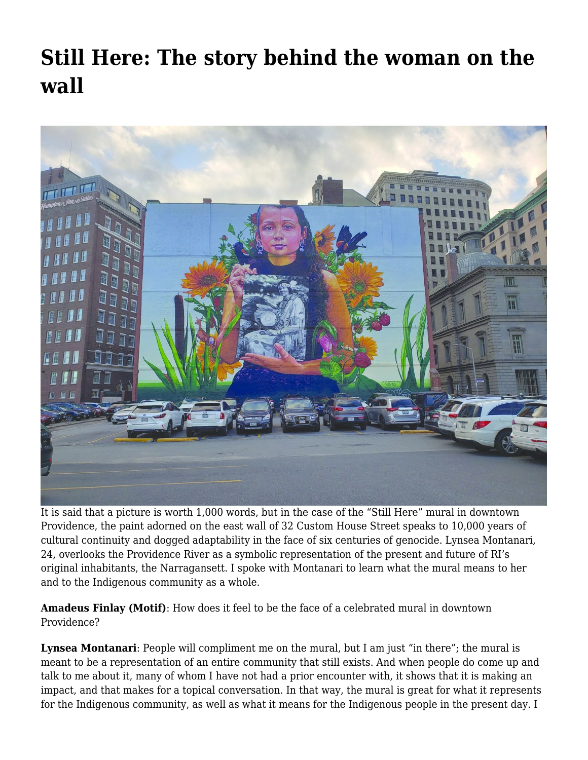## **[Still Here: The story behind the woman on the](https://motifri.com/lynseamontanari/) [wall](https://motifri.com/lynseamontanari/)**



It is said that a picture is worth 1,000 words, but in the case of the "Still Here" mural in downtown Providence, the paint adorned on the east wall of 32 Custom House Street speaks to 10,000 years of cultural continuity and dogged adaptability in the face of six centuries of genocide. Lynsea Montanari, 24, overlooks the Providence River as a symbolic representation of the present and future of RI's original inhabitants, the Narragansett. I spoke with Montanari to learn what the mural means to her and to the Indigenous community as a whole.

**Amadeus Finlay (Motif)**: How does it feel to be the face of a celebrated mural in downtown Providence?

**Lynsea Montanari**: People will compliment me on the mural, but I am just "in there"; the mural is meant to be a representation of an entire community that still exists. And when people do come up and talk to me about it, many of whom I have not had a prior encounter with, it shows that it is making an impact, and that makes for a topical conversation. In that way, the mural is great for what it represents for the Indigenous community, as well as what it means for the Indigenous people in the present day. I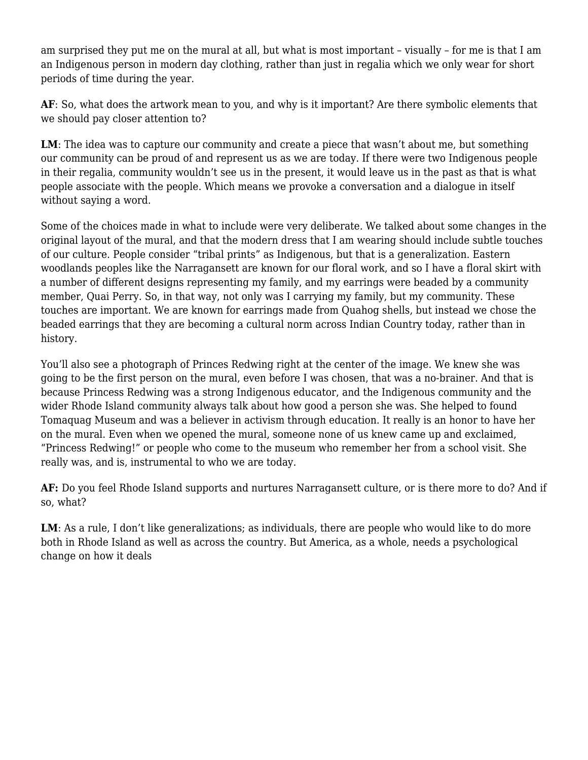am surprised they put me on the mural at all, but what is most important – visually – for me is that I am an Indigenous person in modern day clothing, rather than just in regalia which we only wear for short periods of time during the year.

**AF**: So, what does the artwork mean to you, and why is it important? Are there symbolic elements that we should pay closer attention to?

LM: The idea was to capture our community and create a piece that wasn't about me, but something our community can be proud of and represent us as we are today. If there were two Indigenous people in their regalia, community wouldn't see us in the present, it would leave us in the past as that is what people associate with the people. Which means we provoke a conversation and a dialogue in itself without saying a word.

Some of the choices made in what to include were very deliberate. We talked about some changes in the original layout of the mural, and that the modern dress that I am wearing should include subtle touches of our culture. People consider "tribal prints" as Indigenous, but that is a generalization. Eastern woodlands peoples like the Narragansett are known for our floral work, and so I have a floral skirt with a number of different designs representing my family, and my earrings were beaded by a community member, Quai Perry. So, in that way, not only was I carrying my family, but my community. These touches are important. We are known for earrings made from Quahog shells, but instead we chose the beaded earrings that they are becoming a cultural norm across Indian Country today, rather than in history.

You'll also see a photograph of Princes Redwing right at the center of the image. We knew she was going to be the first person on the mural, even before I was chosen, that was a no-brainer. And that is because Princess Redwing was a strong Indigenous educator, and the Indigenous community and the wider Rhode Island community always talk about how good a person she was. She helped to found Tomaquag Museum and was a believer in activism through education. It really is an honor to have her on the mural. Even when we opened the mural, someone none of us knew came up and exclaimed, "Princess Redwing!" or people who come to the museum who remember her from a school visit. She really was, and is, instrumental to who we are today.

**AF:** Do you feel Rhode Island supports and nurtures Narragansett culture, or is there more to do? And if so, what?

LM: As a rule, I don't like generalizations; as individuals, there are people who would like to do more both in Rhode Island as well as across the country. But America, as a whole, needs a psychological change on how it deals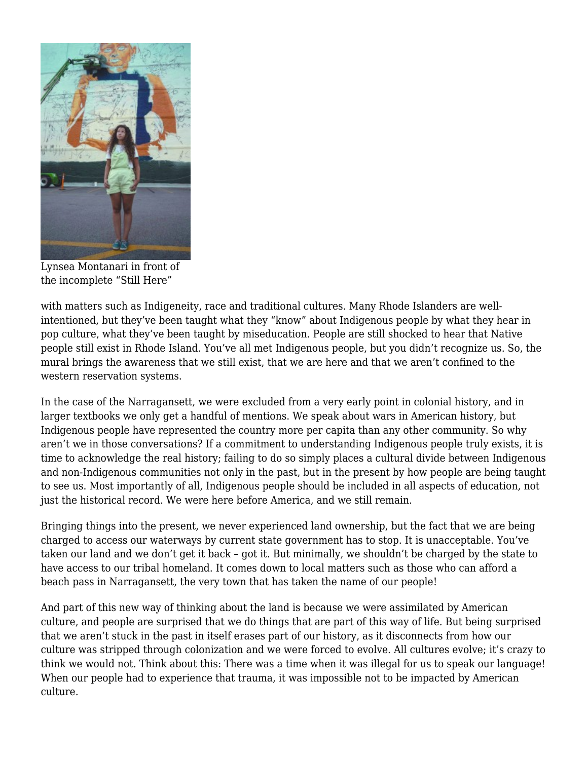

Lynsea Montanari in front of the incomplete "Still Here"

with matters such as Indigeneity, race and traditional cultures. Many Rhode Islanders are wellintentioned, but they've been taught what they "know" about Indigenous people by what they hear in pop culture, what they've been taught by miseducation. People are still shocked to hear that Native people still exist in Rhode Island. You've all met Indigenous people, but you didn't recognize us. So, the mural brings the awareness that we still exist, that we are here and that we aren't confined to the western reservation systems.

In the case of the Narragansett, we were excluded from a very early point in colonial history, and in larger textbooks we only get a handful of mentions. We speak about wars in American history, but Indigenous people have represented the country more per capita than any other community. So why aren't we in those conversations? If a commitment to understanding Indigenous people truly exists, it is time to acknowledge the real history; failing to do so simply places a cultural divide between Indigenous and non-Indigenous communities not only in the past, but in the present by how people are being taught to see us. Most importantly of all, Indigenous people should be included in all aspects of education, not just the historical record. We were here before America, and we still remain.

Bringing things into the present, we never experienced land ownership, but the fact that we are being charged to access our waterways by current state government has to stop. It is unacceptable. You've taken our land and we don't get it back – got it. But minimally, we shouldn't be charged by the state to have access to our tribal homeland. It comes down to local matters such as those who can afford a beach pass in Narragansett, the very town that has taken the name of our people!

And part of this new way of thinking about the land is because we were assimilated by American culture, and people are surprised that we do things that are part of this way of life. But being surprised that we aren't stuck in the past in itself erases part of our history, as it disconnects from how our culture was stripped through colonization and we were forced to evolve. All cultures evolve; it's crazy to think we would not. Think about this: There was a time when it was illegal for us to speak our language! When our people had to experience that trauma, it was impossible not to be impacted by American culture.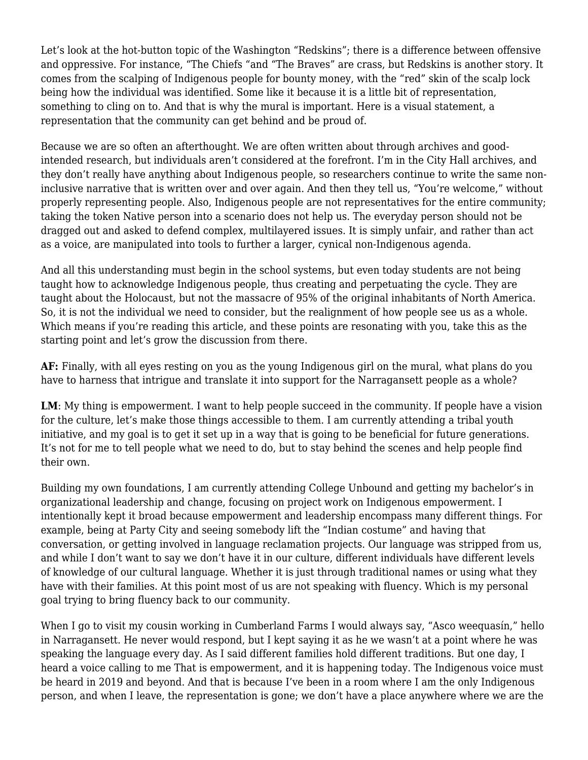Let's look at the hot-button topic of the Washington "Redskins"; there is a difference between offensive and oppressive. For instance, "The Chiefs "and "The Braves" are crass, but Redskins is another story. It comes from the scalping of Indigenous people for bounty money, with the "red" skin of the scalp lock being how the individual was identified. Some like it because it is a little bit of representation, something to cling on to. And that is why the mural is important. Here is a visual statement, a representation that the community can get behind and be proud of.

Because we are so often an afterthought. We are often written about through archives and goodintended research, but individuals aren't considered at the forefront. I'm in the City Hall archives, and they don't really have anything about Indigenous people, so researchers continue to write the same noninclusive narrative that is written over and over again. And then they tell us, "You're welcome," without properly representing people. Also, Indigenous people are not representatives for the entire community; taking the token Native person into a scenario does not help us. The everyday person should not be dragged out and asked to defend complex, multilayered issues. It is simply unfair, and rather than act as a voice, are manipulated into tools to further a larger, cynical non-Indigenous agenda.

And all this understanding must begin in the school systems, but even today students are not being taught how to acknowledge Indigenous people, thus creating and perpetuating the cycle. They are taught about the Holocaust, but not the massacre of 95% of the original inhabitants of North America. So, it is not the individual we need to consider, but the realignment of how people see us as a whole. Which means if you're reading this article, and these points are resonating with you, take this as the starting point and let's grow the discussion from there.

**AF:** Finally, with all eyes resting on you as the young Indigenous girl on the mural, what plans do you have to harness that intrigue and translate it into support for the Narragansett people as a whole?

**LM**: My thing is empowerment. I want to help people succeed in the community. If people have a vision for the culture, let's make those things accessible to them. I am currently attending a tribal youth initiative, and my goal is to get it set up in a way that is going to be beneficial for future generations. It's not for me to tell people what we need to do, but to stay behind the scenes and help people find their own.

Building my own foundations, I am currently attending College Unbound and getting my bachelor's in organizational leadership and change, focusing on project work on Indigenous empowerment. I intentionally kept it broad because empowerment and leadership encompass many different things. For example, being at Party City and seeing somebody lift the "Indian costume" and having that conversation, or getting involved in language reclamation projects. Our language was stripped from us, and while I don't want to say we don't have it in our culture, different individuals have different levels of knowledge of our cultural language. Whether it is just through traditional names or using what they have with their families. At this point most of us are not speaking with fluency. Which is my personal goal trying to bring fluency back to our community.

When I go to visit my cousin working in Cumberland Farms I would always say, "Asco weequasín," hello in Narragansett. He never would respond, but I kept saying it as he we wasn't at a point where he was speaking the language every day. As I said different families hold different traditions. But one day, I heard a voice calling to me That is empowerment, and it is happening today. The Indigenous voice must be heard in 2019 and beyond. And that is because I've been in a room where I am the only Indigenous person, and when I leave, the representation is gone; we don't have a place anywhere where we are the